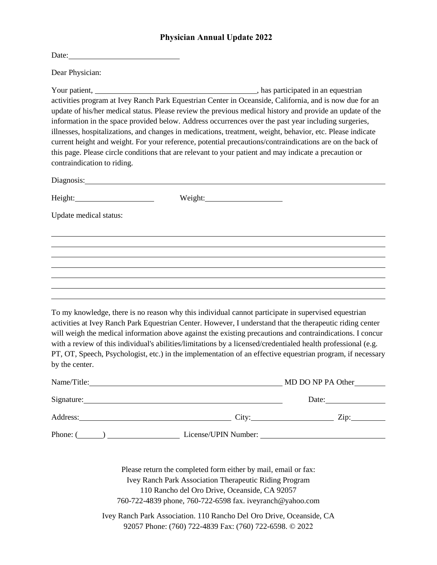## **Physician Annual Update 2022**

| Date: |  |
|-------|--|
|       |  |

Dear Physician:

Your patient, , has participated in an equestrian activities program at Ivey Ranch Park Equestrian Center in Oceanside, California, and is now due for an update of his/her medical status. Please review the previous medical history and provide an update of the information in the space provided below. Address occurrences over the past year including surgeries, illnesses, hospitalizations, and changes in medications, treatment, weight, behavior, etc. Please indicate current height and weight. For your reference, potential precautions/contraindications are on the back of this page. Please circle conditions that are relevant to your patient and may indicate a precaution or contraindication to riding.

| Diagnosis: No. 1996    |  |  |
|------------------------|--|--|
|                        |  |  |
| Update medical status: |  |  |
|                        |  |  |
|                        |  |  |
|                        |  |  |
|                        |  |  |
|                        |  |  |
|                        |  |  |
|                        |  |  |

To my knowledge, there is no reason why this individual cannot participate in supervised equestrian activities at Ivey Ranch Park Equestrian Center. However, I understand that the therapeutic riding center will weigh the medical information above against the existing precautions and contraindications. I concur with a review of this individual's abilities/limitations by a licensed/credentialed health professional (e.g. PT, OT, Speech, Psychologist, etc.) in the implementation of an effective equestrian program, if necessary by the center.

| Name/Title: | MD DO NP PA Other    |                        |
|-------------|----------------------|------------------------|
| Signature:  |                      | Date:                  |
| Address:    | City:                | $\chi$ <sub>10</sub> : |
| Phone: (    | License/UPIN Number: |                        |

Please return the completed form either by mail, email or fax: Ivey Ranch Park Association Therapeutic Riding Program 110 Rancho del Oro Drive, Oceanside, CA 92057 760-722-4839 phone, 760-722-6598 fax. iveyranch@yahoo.com

Ivey Ranch Park Association. 110 Rancho Del Oro Drive, Oceanside, CA 92057 Phone: (760) 722-4839 Fax: (760) 722-6598. © 2022